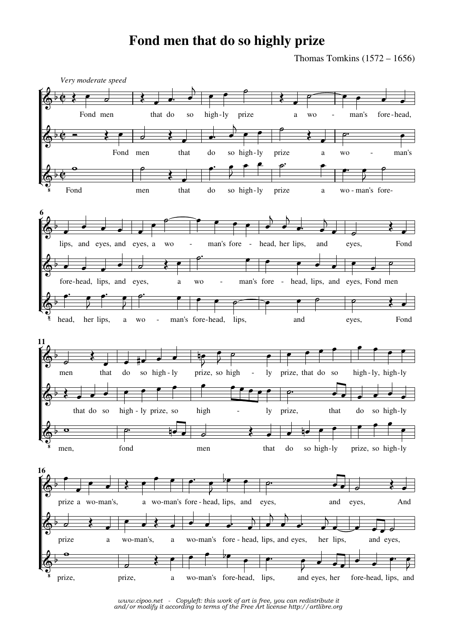## **Fond men that do so highly prize**

Thomas Tomkins  $(1572 – 1656)$ 



*www.cipoo.net - Copyleft: this work of art is free, you can redistribute it and/or modify it according to terms of the Free Art license http://artlibre.org*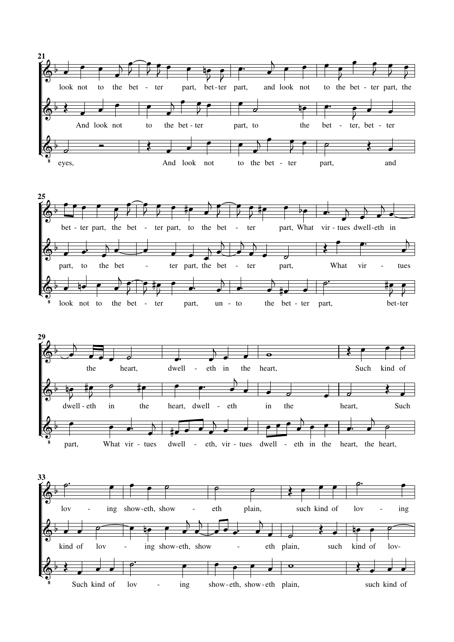